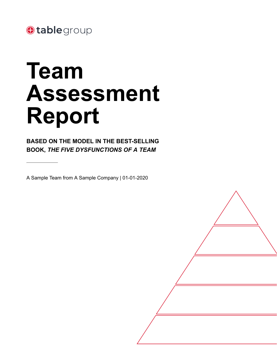

# **Team Assessment Report**

**BASED ON THE MODEL IN THE BEST-SELLING BOOK,** *THE FIVE DYSFUNCTIONS OF A TEAM*

A Sample Team from A Sample Company | 01-01-2020

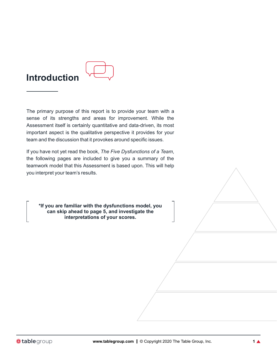

The primary purpose of this report is to provide your team with a sense of its strengths and areas for improvement. While the Assessment itself is certainly quantitative and data-driven, its most important aspect is the qualitative perspective it provides for your team and the discussion that it provokes around specific issues.

If you have not yet read the book, *The Five Dysfunctions of a Team*, the following pages are included to give you a summary of the teamwork model that this Assessment is based upon. This will help you interpret your team's results.

**\*If you are familiar with the dysfunctions model, you can skip ahead to page 5, and investigate the interpretations of your scores.**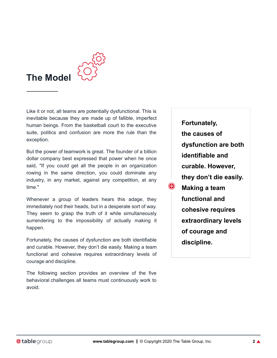

Like it or not, all teams are potentially dysfunctional. This is inevitable because they are made up of fallible, imperfect human beings. From the basketball court to the executive suite, politics and confusion are more the rule than the exception.

But the power of teamwork is great. The founder of a billion dollar company best expressed that power when he once said, "If you could get all the people in an organization rowing in the same direction, you could dominate any industry, in any market, against any competition, at any time."

Whenever a group of leaders hears this adage, they immediately nod their heads, but in a desperate sort of way. They seem to grasp the truth of it while simultaneously surrendering to the impossibility of actually making it happen.

Fortunately, the causes of dysfunction are both identifiable and curable. However, they don't die easily. Making a team functional and cohesive requires extraordinary levels of courage and discipline.

The following section provides an overview of the five behavioral challenges all teams must continuously work to avoid.

**Fortunately, the causes of dysfunction are both identifiable and curable. However, they don't die easily.** ⊕ **Making a team functional and cohesive requires extraordinary levels of courage and discipline.**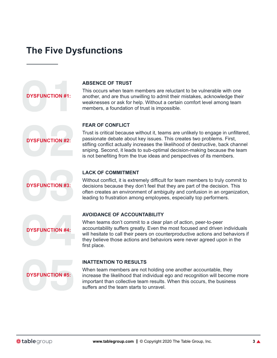### **The Five Dysfunctions**



#### **ABSENCE OF TRUST**

This occurs when team members are reluctant to be vulnerable with one another, and are thus unwilling to admit their mistakes, acknowledge their weaknesses or ask for help. Without a certain comfort level among team members, a foundation of trust is impossible.

#### **FEAR OF CONFLICT**

**DYSFUNCTION #2:**

Trust is critical because without it, teams are unlikely to engage in unfiltered, passionate debate about key issues. This creates two problems. First, stifling conflict actually increases the likelihood of destructive, back channel sniping. Second, it leads to sub-optimal decision-making because the team is not benefiting from the true ideas and perspectives of its members.



### **LACK OF COMMITMENT**

Without conflict, it is extremely difficult for team members to truly commit to decisions because they don't feel that they are part of the decision. This often creates an environment of ambiguity and confusion in an organization, leading to frustration among employees, especially top performers.



### **AVOIDANCE OF ACCOUNTABILITY**

When teams don't commit to a clear plan of action, peer-to-peer accountability suffers greatly. Even the most focused and driven individuals will hesitate to call their peers on counterproductive actions and behaviors if they believe those actions and behaviors were never agreed upon in the first place.



#### **INATTENTION TO RESULTS**

When team members are not holding one another accountable, they increase the likelihood that individual ego and recognition will become more important than collective team results. When this occurs, the business suffers and the team starts to unravel.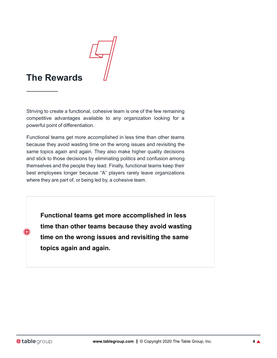

### **The Rewards**

Striving to create a functional, cohesive team is one of the few remaining competitive advantages available to any organization looking for a powerful point of differentiation.

Functional teams get more accomplished in less time than other teams because they avoid wasting time on the wrong issues and revisiting the same topics again and again. They also make higher quality decisions and stick to those decisions by eliminating politics and confusion among themselves and the people they lead. Finally, functional teams keep their best employees longer because "A" players rarely leave organizations where they are part of, or being led by, a cohesive team.

**Functional teams get more accomplished in less time than other teams because they avoid wasting time on the wrong issues and revisiting the same topics again and again.**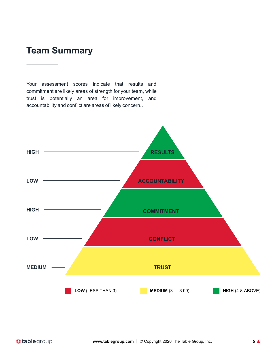### **Team Summary**

Your assessment scores indicate that results and commitment are likely areas of strength for your team, while trust is potentially an area for improvement, and accountability and conflict are areas of likely concern..

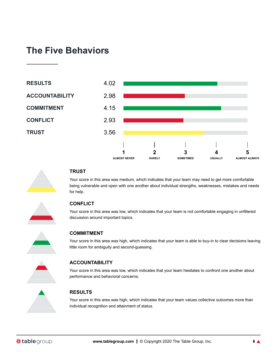### **The Five Behaviors**





### **TRUST**

Your score in this area was medium, which indicates that your team may need to get more comfortable being vulnerable and open with one another about individual strengths, weaknesses, mistakes and needs for help.



### **CONFLICT**

Your score in this area was low, which indicates that your team is not comfortable engaging in unfiltered discussion around important topics.



#### **COMMITMENT**

Your score in this area was high, which indicates that your team is able to buy-in to clear decisions leaving little room for ambiguity and second-guessing.



#### **ACCOUNTABILITY**

Your score in this area was low, which indicates that your team hesitates to confront one another about performance and behavioral concerns.

### **RESULTS**

Your score in this area was high, which indicates that your team values collective outcomes more than individual recognition and attainment of status.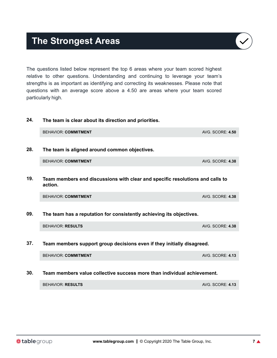### **The Strongest Areas**

The questions listed below represent the top 6 areas where your team scored highest relative to other questions. Understanding and continuing to leverage your team's strengths is as important as identifying and correcting its weaknesses. Please note that questions with an average score above a 4.50 are areas where your team scored particularly high.

### **24. The team is clear about its direction and priorities.**

**28. The team is aligned around common objectives.**

BEHAVIOR: **COMMITMENT** AND **AVG. SCORE: 4.38** 

**19. Team members end discussions with clear and specific resolutions and calls to action.**

| <b>BEHAVIOR: COMMITMENT</b> | <b>AVG. SCORE: 4.38</b> |
|-----------------------------|-------------------------|
|-----------------------------|-------------------------|

BEHAVIOR: **COMMITMENT** AND **AVG. SCORE: 4.50** 

### **09. The team has a reputation for consistently achieving its objectives.**

BEHAVIOR: **RESULTS** AVG. SCORE: **4.38**

**37. Team members support group decisions even if they initially disagreed.**

| <b>BEHAVIOR: COMMITMENT</b> | <b>AVG. SCORE: 4.13</b> |
|-----------------------------|-------------------------|
|                             |                         |

#### **30. Team members value collective success more than individual achievement.**

BEHAVIOR: **RESULTS** AND **AVG. SCORE: 4.13** 



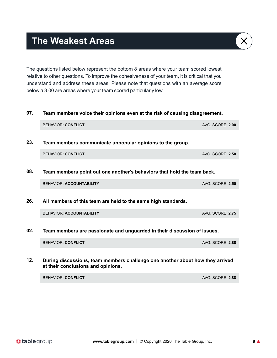**The Weakest Areas**

The questions listed below represent the bottom 8 areas where your team scored lowest relative to other questions. To improve the cohesiveness of your team, it is critical that you understand and address these areas. Please note that questions with an average score below a 3.00 are areas where your team scored particularly low.

**07. Team members voice their opinions even at the risk of causing disagreement.**

## BEHAVIOR: **CONFLICT** AVG. SCORE: **2.00 23. Team members communicate unpopular opinions to the group.** BEHAVIOR: **CONFLICT** AVG. SCORE: **2.50 08. Team members point out one another's behaviors that hold the team back.** BEHAVIOR: **ACCOUNTABILITY** AND **AVG. SCORE: 2.50 26. All members of this team are held to the same high standards.** BEHAVIOR: **ACCOUNTABILITY** AVG. SCORE: **2.75 02. Team members are passionate and unguarded in their discussion of issues.** BEHAVIOR: **CONFLICT** AVG. SCORE: **2.88 12. During discussions, team members challenge one another about how they arrived**

**at their conclusions and opinions.** BEHAVIOR: **CONFLICT** AVG. SCORE: **2.88**

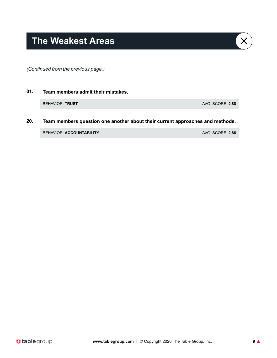**01. Team members admit their mistakes.**

BEHAVIOR: **TRUST AVG. SCORE: 2.88** 

**20. Team members question one another about their current approaches and methods.**

BEHAVIOR: **ACCOUNTABILITY** AVG. SCORE: **2.88**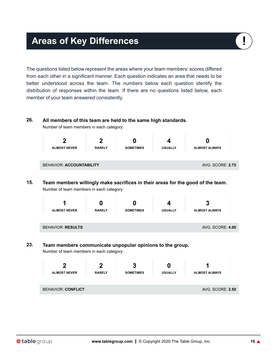### **Areas of Key Differences**

The questions listed below represent the areas where your team members' scores differed from each other in a significant manner. Each question indicates an area that needs to be better understood across the team. The numbers below each question identify the distribution of responses within the team. If there are no questions listed below, each member of your team answered consistently.

### **26. All members of this team are held to the same high standards.**

Number of team members in each category:



**15. Team members willingly make sacrifices in their areas for the good of the team.** Number of team members in each category:

|     |                                                           |               |                  | Δ              |                         |  |
|-----|-----------------------------------------------------------|---------------|------------------|----------------|-------------------------|--|
|     | <b>ALMOST NEVER</b>                                       | <b>RARELY</b> | <b>SOMETIMES</b> | <b>USUALLY</b> | <b>ALMOST ALWAYS</b>    |  |
|     | <b>BEHAVIOR: RESULTS</b>                                  |               |                  |                | <b>AVG. SCORE: 4.00</b> |  |
| 23. | Team members communicate unpopular opinions to the group. |               |                  |                |                         |  |

Number of team members in each category:



I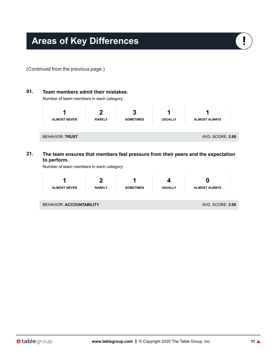

- **01. Team members admit their mistakes.** Number of team members in each category: **1 ALMOST NEVER 2 RARELY 3 SOMETIMES 1 USUALLY 1 ALMOST ALWAYS** BEHAVIOR: **TRUST** AVG. SCORE: 2.88 **21. The team ensures that members feel pressure from their peers and the expectation**
- **to perform.**

Number of team members in each category:

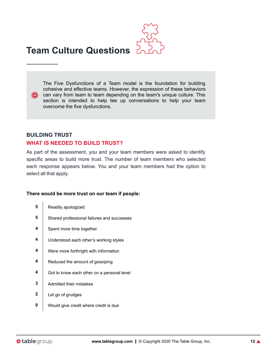

The Five Dysfunctions of a Team model is the foundation for building cohesive and effective teams. However, the expression of these behaviors **can vary from team to team depending on the team's unique culture.** This section is intended to help tee up conversations to help your team overcome the five dysfunctions.

### **BUILDING TRUST WHAT IS NEEDED TO BUILD TRUST?**

As part of the assessment, you and your team members were asked to identify specific areas to build more trust. The number of team members who selected each response appears below. You and your team members had the option to select all that apply.

### **There would be more trust on our team if people:**

- **5** Readily apologized
- **5** Shared professional failures and successes
- **4** Spent more time together
- **4** Understood each other's working styles
- **4** Were more forthright with information
- **4** Reduced the amount of gossiping
- **4** Got to know each other on a personal level
- **3** Admitted their mistakes
- **2** Let go of grudges
- **0** Would give credit where credit is due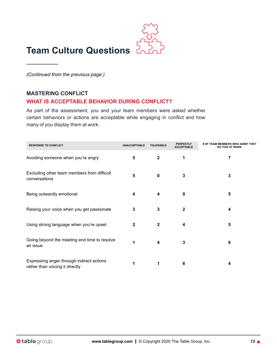

### **MASTERING CONFLICT**

### **WHAT IS ACCEPTABLE BEHAVIOR DURING CONFLICT?**

As part of the assessment, you and your team members were asked whether certain behaviors or actions are acceptable while engaging in conflict and how many of you display them at work.

| <b>RESPONSE TO CONFLICT:</b>                                                 | <b>UNACCEPTABLE</b> | <b>TOLERABLE</b> | <b>PERFECTLY</b><br><b>ACCEPTABLE</b> | # OF TEAM MEMBERS WHO ADMIT THEY<br><b>DO THIS AT WORK</b> |
|------------------------------------------------------------------------------|---------------------|------------------|---------------------------------------|------------------------------------------------------------|
| Avoiding someone when you're angry                                           | 5                   | $\mathbf{2}$     | 1                                     | 7                                                          |
| Excluding other team members from difficult<br>conversations                 | 5                   | $\mathbf 0$      | 3                                     | 3                                                          |
| Being outwardly emotional                                                    | 4                   | 4                | 0                                     | 5                                                          |
| Raising your voice when you get passionate                                   | 3                   | 3                | $\mathbf{2}$                          | 4                                                          |
| Using strong language when you're upset                                      | $\mathbf{2}$        | $\mathbf{2}$     | 4                                     | 5                                                          |
| Going beyond the meeting end time to resolve<br>an issue                     |                     | 4                | 3                                     | 6                                                          |
| Expressing anger through indirect actions<br>rather than voicing it directly |                     | 1                | 6                                     | 4                                                          |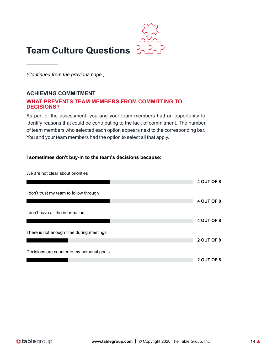

### **ACHIEVING COMMITMENT**

### **WHAT PREVENTS TEAM MEMBERS FROM COMMITTING TO DECISIONS?**

As part of the assessment, you and your team members had an opportunity to identify reasons that could be contributing to the lack of commitment. The number of team members who selected each option appears next to the corresponding bar. You and your team members had the option to select all that apply.

#### **I sometimes don't buy-in to the team's decisions because:**

We are not clear about priorities

|                                            | 4 OUT OF 8 |
|--------------------------------------------|------------|
|                                            |            |
| I don't trust my team to follow through    |            |
|                                            | 4 OUT OF 8 |
|                                            |            |
| I don't have all the information           |            |
|                                            |            |
|                                            | 4 OUT OF 8 |
|                                            |            |
| There is not enough time during meetings   |            |
|                                            | 2 OUT OF 8 |
|                                            |            |
| Decisions are counter to my personal goals |            |
|                                            |            |
|                                            | 2 OUT OF 8 |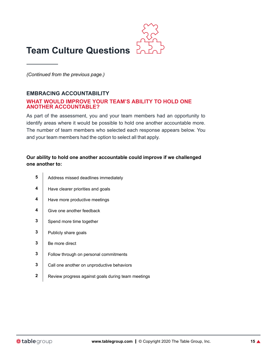

### **EMBRACING ACCOUNTABILITY**

### **WHAT WOULD IMPROVE YOUR TEAM'S ABILITY TO HOLD ONE ANOTHER ACCOUNTABLE?**

As part of the assessment, you and your team members had an opportunity to identify areas where it would be possible to hold one another accountable more. The number of team members who selected each response appears below. You and your team members had the option to select all that apply.

### **Our ability to hold one another accountable could improve if we challenged one another to:**

- **5** Address missed deadlines immediately
- **4** Have clearer priorities and goals
- **4** Have more productive meetings
- **4** Give one another feedback
- **3** Spend more time together
- **3** Publicly share goals
- **3** Be more direct
- **3** Follow through on personal commitments
- **3** Call one another on unproductive behaviors
- **2** Review progress against goals during team meetings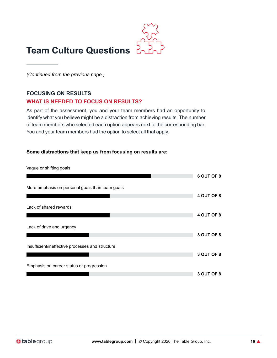

### **FOCUSING ON RESULTS WHAT IS NEEDED TO FOCUS ON RESULTS?**

As part of the assessment, you and your team members had an opportunity to identify what you believe might be a distraction from achieving results. The number of team members who selected each option appears next to the corresponding bar. You and your team members had the option to select all that apply.

### **Some distractions that keep us from focusing on results are:**

Vague or shifting goals

|                                                  | 6 OUT OF 8 |
|--------------------------------------------------|------------|
| More emphasis on personal goals than team goals  |            |
|                                                  | 4 OUT OF 8 |
| Lack of shared rewards                           |            |
|                                                  | 4 OUT OF 8 |
| Lack of drive and urgency                        |            |
|                                                  | 3 OUT OF 8 |
| Insufficient/ineffective processes and structure |            |
|                                                  | 3 OUT OF 8 |
| Emphasis on career status or progression         |            |
|                                                  | 3 OUT OF 8 |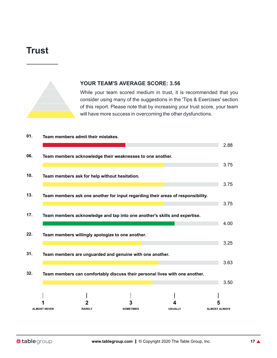### **Trust**



### **YOUR TEAM'S AVERAGE SCORE: 3.56**

While your team scored medium in trust, it is recommended that you consider using many of the suggestions in the 'Tips & Exercises' section of this report. Please note that by increasing your trust score, your team will have more success in overcoming the other dysfunctions.

**01. Team members admit their mistakes.**

|     |                     |                                                           |                  |                                                                                 | 2.88                 |
|-----|---------------------|-----------------------------------------------------------|------------------|---------------------------------------------------------------------------------|----------------------|
| 06. |                     | Team members acknowledge their weaknesses to one another. |                  |                                                                                 |                      |
|     |                     |                                                           |                  |                                                                                 | 3.75                 |
| 10. |                     | Team members ask for help without hesitation.             |                  |                                                                                 |                      |
|     |                     |                                                           |                  |                                                                                 | 3.75                 |
| 13. |                     |                                                           |                  | Team members ask one another for input regarding their areas of responsibility. |                      |
|     |                     |                                                           |                  |                                                                                 | 3.75                 |
| 17. |                     |                                                           |                  | Team members acknowledge and tap into one another's skills and expertise.       |                      |
|     |                     |                                                           |                  |                                                                                 | 4.00                 |
| 22. |                     | Team members willingly apologize to one another.          |                  |                                                                                 |                      |
|     |                     |                                                           |                  |                                                                                 | 3.25                 |
| 31. |                     | Team members are unguarded and genuine with one another.  |                  |                                                                                 |                      |
|     |                     |                                                           |                  |                                                                                 | 3.63                 |
| 32. |                     |                                                           |                  | Team members can comfortably discuss their personal lives with one another.     |                      |
|     |                     |                                                           |                  |                                                                                 | 3.50                 |
|     |                     |                                                           |                  |                                                                                 |                      |
|     |                     |                                                           |                  |                                                                                 |                      |
|     |                     |                                                           |                  |                                                                                 | 5                    |
|     | <b>ALMOST NEVER</b> | <b>RARELY</b>                                             | <b>SOMETIMES</b> | <b>USUALLY</b>                                                                  | <b>ALMOST ALWAYS</b> |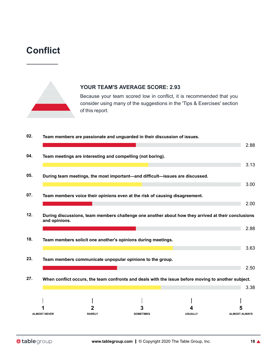### **Conflict**



### **YOUR TEAM'S AVERAGE SCORE: 2.93**

Because your team scored low in conflict, it is recommended that you consider using many of the suggestions in the 'Tips & Exercises' section of this report.

| 02. | Team members are passionate and unguarded in their discussion of issues.                                            |                  |                | 2.88                 |
|-----|---------------------------------------------------------------------------------------------------------------------|------------------|----------------|----------------------|
| 04. | Team meetings are interesting and compelling (not boring).                                                          |                  |                |                      |
|     |                                                                                                                     |                  |                | 3.13                 |
| 05. | During team meetings, the most important—and difficult—issues are discussed.                                        |                  |                | 3.00                 |
| 07. | Team members voice their opinions even at the risk of causing disagreement.                                         |                  |                |                      |
|     |                                                                                                                     |                  |                | 2.00                 |
| 12. | During discussions, team members challenge one another about how they arrived at their conclusions<br>and opinions. |                  |                |                      |
|     |                                                                                                                     |                  |                | 2.88                 |
| 18. | Team members solicit one another's opinions during meetings.                                                        |                  |                | 3.63                 |
| 23. | Team members communicate unpopular opinions to the group.                                                           |                  |                |                      |
|     |                                                                                                                     |                  |                | 2.50                 |
| 27. | When conflict occurs, the team confronts and deals with the issue before moving to another subject.                 |                  |                | 3.38                 |
|     |                                                                                                                     |                  |                |                      |
|     |                                                                                                                     |                  |                |                      |
|     | <b>ALMOST NEVER</b><br><b>RARELY</b>                                                                                | <b>SOMETIMES</b> | <b>USUALLY</b> | <b>ALMOST ALWAYS</b> |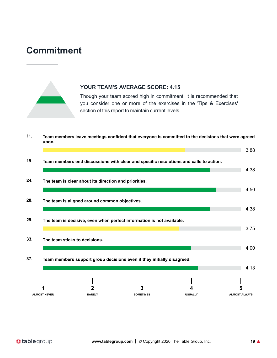### **Commitment**



### **YOUR TEAM'S AVERAGE SCORE: 4.15**

Though your team scored high in commitment, it is recommended that you consider one or more of the exercises in the 'Tips & Exercises' section of this report to maintain current levels.

**11. Team members leave meetings confident that everyone is committed to the decisions that were agreed upon.**

| 19. |                     |                                                       | Team members end discussions with clear and specific resolutions and calls to action. |                |                      |
|-----|---------------------|-------------------------------------------------------|---------------------------------------------------------------------------------------|----------------|----------------------|
| 24. |                     | The team is clear about its direction and priorities. |                                                                                       |                | 4.38                 |
|     |                     |                                                       |                                                                                       |                | 4.50                 |
| 28. |                     | The team is aligned around common objectives.         |                                                                                       |                | 4.38                 |
| 29. |                     |                                                       | The team is decisive, even when perfect information is not available.                 |                |                      |
|     |                     |                                                       |                                                                                       |                | 3.75                 |
| 33. |                     | The team sticks to decisions.                         |                                                                                       |                | 4.00                 |
| 37. |                     |                                                       | Team members support group decisions even if they initially disagreed.                |                |                      |
|     |                     |                                                       |                                                                                       |                | 4.13                 |
|     |                     |                                                       |                                                                                       |                |                      |
|     | <b>ALMOST NEVER</b> | <b>RARELY</b>                                         | <b>SOMETIMES</b>                                                                      | <b>USUALLY</b> | <b>ALMOST ALWAYS</b> |

3.88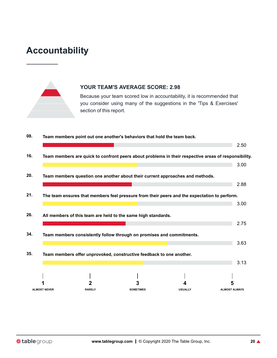### **Accountability**



### **YOUR TEAM'S AVERAGE SCORE: 2.98**

Because your team scored low in accountability, it is recommended that you consider using many of the suggestions in the 'Tips & Exercises' section of this report.

| 08. |                     | Team members point out one another's behaviors that hold the team back. |                  |                                                                                                      |                      |
|-----|---------------------|-------------------------------------------------------------------------|------------------|------------------------------------------------------------------------------------------------------|----------------------|
|     |                     |                                                                         |                  |                                                                                                      | 2.50                 |
| 16. |                     |                                                                         |                  | Team members are quick to confront peers about problems in their respective areas of responsibility. |                      |
|     |                     |                                                                         |                  |                                                                                                      | 3.00                 |
| 20. |                     |                                                                         |                  | Team members question one another about their current approaches and methods.                        |                      |
|     |                     |                                                                         |                  |                                                                                                      | 2.88                 |
| 21. |                     |                                                                         |                  | The team ensures that members feel pressure from their peers and the expectation to perform.         |                      |
|     |                     |                                                                         |                  |                                                                                                      | 3.00                 |
| 26. |                     | All members of this team are held to the same high standards.           |                  |                                                                                                      |                      |
|     |                     |                                                                         |                  |                                                                                                      | 2.75                 |
| 34. |                     |                                                                         |                  | Team members consistently follow through on promises and commitments.                                |                      |
|     |                     |                                                                         |                  |                                                                                                      | 3.63                 |
| 35. |                     | Team members offer unprovoked, constructive feedback to one another.    |                  |                                                                                                      |                      |
|     |                     |                                                                         |                  |                                                                                                      | 3.13                 |
|     |                     |                                                                         |                  |                                                                                                      |                      |
|     |                     |                                                                         |                  |                                                                                                      | 5                    |
|     | <b>ALMOST NEVER</b> | <b>RARELY</b>                                                           | <b>SOMETIMES</b> | <b>USUALLY</b>                                                                                       | <b>ALMOST ALWAYS</b> |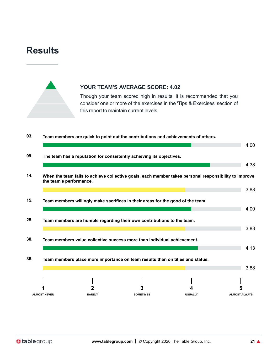### **Results**



### **YOUR TEAM'S AVERAGE SCORE: 4.02**

Though your team scored high in results, it is recommended that you consider one or more of the exercises in the 'Tips & Exercises' section of this report to maintain current levels.

**03. Team members are quick to point out the contributions and achievements of others.**

| 09. |                         |               | The team has a reputation for consistently achieving its objectives.                                  |                |                      |
|-----|-------------------------|---------------|-------------------------------------------------------------------------------------------------------|----------------|----------------------|
|     |                         |               |                                                                                                       |                | 4.38                 |
| 14. | the team's performance. |               | When the team fails to achieve collective goals, each member takes personal responsibility to improve |                |                      |
|     |                         |               |                                                                                                       |                | 3.88                 |
| 15. |                         |               | Team members willingly make sacrifices in their areas for the good of the team.                       |                |                      |
|     |                         |               |                                                                                                       |                | 4.00                 |
| 25. |                         |               | Team members are humble regarding their own contributions to the team.                                |                |                      |
|     |                         |               |                                                                                                       |                | 3.88                 |
| 30. |                         |               | Team members value collective success more than individual achievement.                               |                |                      |
|     |                         |               |                                                                                                       |                | 4.13                 |
| 36. |                         |               | Team members place more importance on team results than on titles and status.                         |                |                      |
|     |                         |               |                                                                                                       |                | 3.88                 |
|     |                         |               |                                                                                                       |                |                      |
|     |                         |               |                                                                                                       |                | 5                    |
|     | <b>ALMOST NEVER</b>     | <b>RARELY</b> | <b>SOMETIMES</b>                                                                                      | <b>USUALLY</b> | <b>ALMOST ALWAYS</b> |

4.00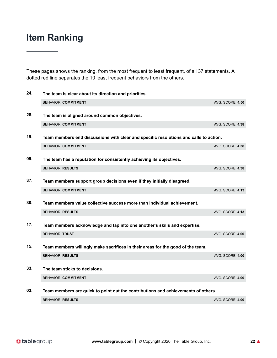These pages shows the ranking, from the most frequent to least frequent, of all 37 statements. A dotted red line separates the 10 least frequent behaviors from the others.

| 24. | The team is clear about its direction and priorities.                                 |                  |
|-----|---------------------------------------------------------------------------------------|------------------|
|     | <b>BEHAVIOR: COMMITMENT</b>                                                           | AVG. SCORE: 4.50 |
| 28. | The team is aligned around common objectives.                                         |                  |
|     | <b>BEHAVIOR: COMMITMENT</b>                                                           | AVG. SCORE: 4.38 |
| 19. | Team members end discussions with clear and specific resolutions and calls to action. |                  |
|     | <b>BEHAVIOR: COMMITMENT</b>                                                           | AVG. SCORE: 4.38 |
| 09. | The team has a reputation for consistently achieving its objectives.                  |                  |
|     | <b>BEHAVIOR: RESULTS</b>                                                              | AVG. SCORE: 4.38 |
| 37. | Team members support group decisions even if they initially disagreed.                |                  |
|     | <b>BEHAVIOR: COMMITMENT</b>                                                           | AVG. SCORE: 4.13 |
| 30. | Team members value collective success more than individual achievement.               |                  |
|     | <b>BEHAVIOR: RESULTS</b>                                                              | AVG. SCORE: 4.13 |
| 17. | Team members acknowledge and tap into one another's skills and expertise.             |                  |
|     | <b>BEHAVIOR: TRUST</b>                                                                | AVG. SCORE: 4.00 |
| 15. | Team members willingly make sacrifices in their areas for the good of the team.       |                  |
|     | <b>BEHAVIOR: RESULTS</b>                                                              | AVG. SCORE: 4.00 |
| 33. | The team sticks to decisions.                                                         |                  |
|     | <b>BEHAVIOR: COMMITMENT</b>                                                           | AVG. SCORE: 4.00 |
| 03. | Team members are quick to point out the contributions and achievements of others.     |                  |
|     | <b>BEHAVIOR: RESULTS</b>                                                              | AVG. SCORE: 4.00 |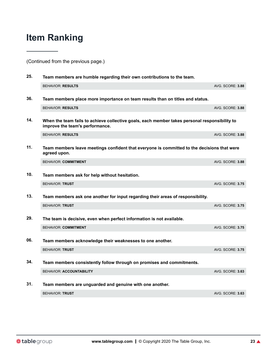(Continued from the previous page.)

| 25. | Team members are humble regarding their own contributions to the team.                                                           |                         |
|-----|----------------------------------------------------------------------------------------------------------------------------------|-------------------------|
|     | <b>BEHAVIOR: RESULTS</b>                                                                                                         | AVG. SCORE: 3.88        |
| 36. | Team members place more importance on team results than on titles and status.                                                    |                         |
|     | <b>BEHAVIOR: RESULTS</b>                                                                                                         | AVG. SCORE: 3.88        |
| 14. | When the team fails to achieve collective goals, each member takes personal responsibility to<br>improve the team's performance. |                         |
|     | <b>BEHAVIOR: RESULTS</b>                                                                                                         | AVG. SCORE: 3.88        |
| 11. | Team members leave meetings confident that everyone is committed to the decisions that were<br>agreed upon.                      |                         |
|     | <b>BEHAVIOR: COMMITMENT</b>                                                                                                      | <b>AVG. SCORE: 3.88</b> |
| 10. | Team members ask for help without hesitation.                                                                                    |                         |
|     | <b>BEHAVIOR: TRUST</b>                                                                                                           | <b>AVG. SCORE: 3.75</b> |
| 13. | Team members ask one another for input regarding their areas of responsibility.                                                  |                         |
|     | <b>BEHAVIOR: TRUST</b>                                                                                                           | <b>AVG. SCORE: 3.75</b> |
| 29. | The team is decisive, even when perfect information is not available.                                                            |                         |
|     | <b>BEHAVIOR: COMMITMENT</b>                                                                                                      | <b>AVG. SCORE: 3.75</b> |
| 06. | Team members acknowledge their weaknesses to one another.                                                                        |                         |
|     | <b>BEHAVIOR: TRUST</b>                                                                                                           | <b>AVG. SCORE: 3.75</b> |
| 34. | Team members consistently follow through on promises and commitments.                                                            |                         |
|     | <b>BEHAVIOR: ACCOUNTABILITY</b>                                                                                                  | AVG. SCORE: 3.63        |
| 31. | Team members are unguarded and genuine with one another.                                                                         |                         |
|     | <b>BEHAVIOR: TRUST</b>                                                                                                           | <b>AVG. SCORE: 3.63</b> |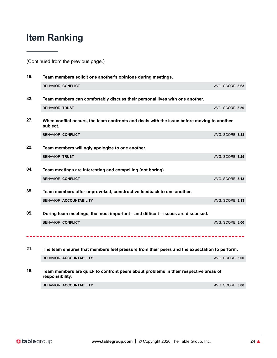(Continued from the previous page.)

| 18. | Team members solicit one another's opinions during meetings.                                            |                         |  |
|-----|---------------------------------------------------------------------------------------------------------|-------------------------|--|
|     | <b>BEHAVIOR: CONFLICT</b>                                                                               | AVG. SCORE: 3.63        |  |
| 32. | Team members can comfortably discuss their personal lives with one another.                             |                         |  |
|     | <b>BEHAVIOR: TRUST</b>                                                                                  | <b>AVG. SCORE: 3.50</b> |  |
| 27. | When conflict occurs, the team confronts and deals with the issue before moving to another<br>subject.  |                         |  |
|     | <b>BEHAVIOR: CONFLICT</b>                                                                               | AVG. SCORE: 3.38        |  |
| 22. | Team members willingly apologize to one another.                                                        |                         |  |
|     | <b>BEHAVIOR: TRUST</b>                                                                                  | <b>AVG. SCORE: 3.25</b> |  |
| 04. | Team meetings are interesting and compelling (not boring).                                              |                         |  |
|     | <b>BEHAVIOR: CONFLICT</b>                                                                               | <b>AVG. SCORE: 3.13</b> |  |
| 35. | Team members offer unprovoked, constructive feedback to one another.                                    |                         |  |
|     | <b>BEHAVIOR: ACCOUNTABILITY</b>                                                                         | AVG. SCORE: 3.13        |  |
| 05. | During team meetings, the most important—and difficult—issues are discussed.                            |                         |  |
|     | <b>BEHAVIOR: CONFLICT</b>                                                                               | AVG. SCORE: 3.00        |  |
|     |                                                                                                         |                         |  |
|     |                                                                                                         |                         |  |
| 21. | The team ensures that members feel pressure from their peers and the expectation to perform.            |                         |  |
|     | <b>BEHAVIOR: ACCOUNTABILITY</b>                                                                         | AVG. SCORE: 3.00        |  |
| 16. | Team members are quick to confront peers about problems in their respective areas of<br>responsibility. |                         |  |
|     | <b>BEHAVIOR: ACCOUNTABILITY</b>                                                                         | AVG. SCORE: 3.00        |  |
|     |                                                                                                         |                         |  |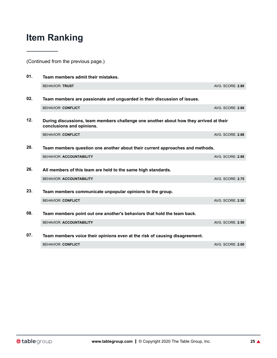(Continued from the previous page.)

| 01. | Team members admit their mistakes.                                                                                  |                         |  |
|-----|---------------------------------------------------------------------------------------------------------------------|-------------------------|--|
|     | <b>BEHAVIOR: TRUST</b>                                                                                              | AVG. SCORE: 2.88        |  |
| 02. | Team members are passionate and unguarded in their discussion of issues.                                            |                         |  |
|     | <b>BEHAVIOR: CONFLICT</b>                                                                                           | AVG. SCORE: 2.88        |  |
| 12. | During discussions, team members challenge one another about how they arrived at their<br>conclusions and opinions. |                         |  |
|     | <b>BEHAVIOR: CONFLICT</b>                                                                                           | AVG. SCORE: 2.88        |  |
| 20. | Team members question one another about their current approaches and methods.                                       |                         |  |
|     | <b>BEHAVIOR: ACCOUNTABILITY</b>                                                                                     | AVG. SCORE: 2.88        |  |
| 26. | All members of this team are held to the same high standards.                                                       |                         |  |
|     | <b>BEHAVIOR: ACCOUNTABILITY</b>                                                                                     | <b>AVG. SCORE: 2.75</b> |  |
| 23. | Team members communicate unpopular opinions to the group.                                                           |                         |  |
|     | <b>BEHAVIOR: CONFLICT</b>                                                                                           | <b>AVG. SCORE: 2.50</b> |  |
| 08. | Team members point out one another's behaviors that hold the team back.                                             |                         |  |
|     | <b>BEHAVIOR: ACCOUNTABILITY</b>                                                                                     | <b>AVG. SCORE: 2.50</b> |  |
| 07. | Team members voice their opinions even at the risk of causing disagreement.                                         |                         |  |
|     | <b>BEHAVIOR: CONFLICT</b>                                                                                           | AVG. SCORE: 2.00        |  |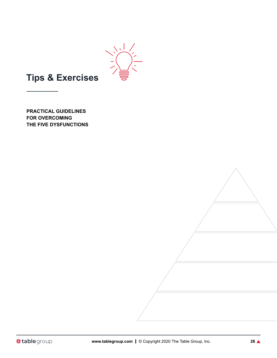

### **Tips & Exercises**

**PRACTICAL GUIDELINES FOR OVERCOMING THE FIVE DYSFUNCTIONS**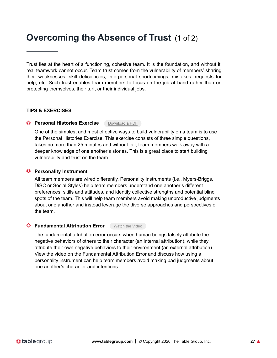### **Overcoming the Absence of Trust** (1 of 2)

Trust lies at the heart of a functioning, cohesive team. It is the foundation, and without it, real teamwork cannot occur. Team trust comes from the vulnerability of members' sharing their weaknesses, skill deficiencies, interpersonal shortcomings, mistakes, requests for help, etc. Such trust enables team members to focus on the job at hand rather than on protecting themselves, their turf, or their individual jobs.

### **TIPS & EXERCISES**

#### **Personal Histories Exercise** [Download](https://www.tablegroup.com/download/personal-histories-exercise/) a PDF

One of the simplest and most effective ways to build vulnerability on a team is to use the Personal Histories Exercise. This exercise consists of three simple questions, takes no more than 25 minutes and without fail, team members walk away with a deeper knowledge of one another's stories. This is a great place to start building vulnerability and trust on the team.

#### **Personality Instrument**

All team members are wired differently. Personality instruments (i.e., Myers-Briggs, DiSC or Social Styles) help team members understand one another's different preferences, skills and attitudes, and identify collective strengths and potential blind spots of the team. This will help team members avoid making unproductive judgments about one another and instead leverage the diverse approaches and perspectives of the team.

### **G** Fundamental Attribution Error [Watch](https://www.tablegroup.com/hub/post/the-fundamental-attribution-error) the Video

The fundamental attribution error occurs when human beings falsely attribute the negative behaviors of others to their character (an internal attribution), while they attribute their own negative behaviors to their environment (an external attribution). View the video on the Fundamental Attribution Error and discuss how using a personality instrument can help team members avoid making bad judgments about one another's character and intentions.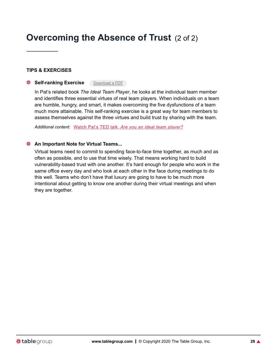### **Overcoming the Absence of Trust** (2 of 2)

### **TIPS & EXERCISES**

**Self-ranking Exercise** [Download](https://www.tablegroup.com/download/itp-self-ranking-exercise/) a PDF

In Pat's related book *The Ideal Team Player*, he looks at the individual team member and identifies three essential virtues of real team players. When individuals on a team are humble, hungry, and smart, it makes overcoming the five dysfunctions of a team much more attainable. This self-ranking exercise is a great way for team members to assess themselves against the three virtues and build trust by sharing with the team.

*Additional content:* Watch Pat's TED talk, *Are you an ideal team [player?](https://www.ted.com/talks/patrick_lencioni_are_you_an_ideal_team_player)*

#### **An Important Note for Virtual Teams...**

Virtual teams need to commit to spending face-to-face time together, as much and as often as possible, and to use that time wisely. That means working hard to build vulnerability-based trust with one another. It's hard enough for people who work in the same office every day and who look at each other in the face during meetings to do this well. Teams who don't have that luxury are going to have to be much more intentional about getting to know one another during their virtual meetings and when they are together.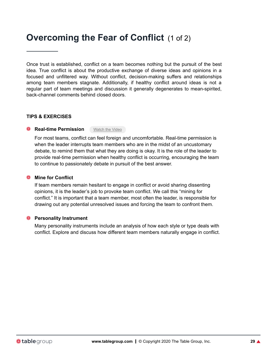### **Overcoming the Fear of Conflict** (1 of 2)

Once trust is established, conflict on a team becomes nothing but the pursuit of the best idea. True conflict is about the productive exchange of diverse ideas and opinions in a focused and unfiltered way. Without conflict, decision-making suffers and relationships among team members stagnate. Additionally, if healthy conflict around ideas is not a regular part of team meetings and discussion it generally degenerates to mean-spirited, back-channel comments behind closed doors.

#### **TIPS & EXERCISES**

### **Real-time Permission** [Watch](https://www.tablegroup.com/hub/post/real-time-permission-video) the Video

For most teams, conflict can feel foreign and uncomfortable. Real-time permission is when the leader interrupts team members who are in the midst of an uncustomary debate, to remind them that what they are doing is okay. It is the role of the leader to provide real-time permission when healthy conflict is occurring, encouraging the team to continue to passionately debate in pursuit of the best answer.

#### **Mine for Conflict**

If team members remain hesitant to engage in conflict or avoid sharing dissenting opinions, it is the leader's job to provoke team conflict. We call this "mining for conflict." It is important that a team member, most often the leader, is responsible for drawing out any potential unresolved issues and forcing the team to confront them.

#### **Personality Instrument**

Many personality instruments include an analysis of how each style or type deals with conflict. Explore and discuss how different team members naturally engage in conflict.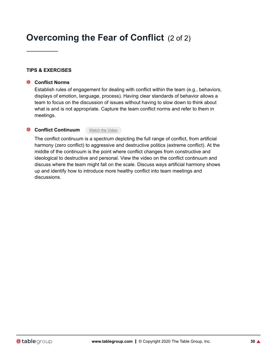### **Overcoming the Fear of Conflict** (2 of 2)

### **TIPS & EXERCISES**

#### **Conflict Norms**

Establish rules of engagement for dealing with conflict within the team (e.g., behaviors, displays of emotion, language, process). Having clear standards of behavior allows a team to focus on the discussion of issues without having to slow down to think about what is and is not appropriate. Capture the team conflict norms and refer to them in meetings.

#### **Conflict Continuum** [Watch](https://www.tablegroup.com/hub/post/conflict-continuum) the Video

The conflict continuum is a spectrum depicting the full range of conflict, from artificial harmony (zero conflict) to aggressive and destructive politics (extreme conflict). At the middle of the continuum is the point where conflict changes from constructive and ideological to destructive and personal. View the video on the conflict continuum and discuss where the team might fall on the scale. Discuss ways artificial harmony shows up and identify how to introduce more healthy conflict into team meetings and discussions.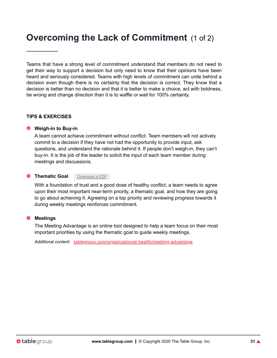### **Overcoming the Lack of Commitment** (1 of 2)

Teams that have a strong level of commitment understand that members do not need to get their way to support a decision but only need to know that their opinions have been heard and seriously considered. Teams with high levels of commitment can unite behind a decision even though there is no certainty that the decision is correct. They know that a decision is better than no decision and that it is better to make a choice, act with boldness, be wrong and change direction than it is to waffle or wait for 100% certainty.

#### **TIPS & EXERCISES**

#### **Weigh-in to Buy-in**

A team cannot achieve commitment without conflict. Team members will not actively commit to a decision if they have not had the opportunity to provide input, ask questions, and understand the rationale behind it. If people don't weigh-in, they can't buy-in. It is the job of the leader to solicit the input of each team member during meetings and discussions.

### **O** Thematic Goal [Download](https://www.tablegroup.com/download/silos-model/) a PDF

With a foundation of trust and a good dose of healthy conflict, a team needs to agree upon their most important near-term priority, a thematic goal, and how they are going to go about achieving it. Agreeing on a top priority and reviewing progress towards it during weekly meetings reinforces commitment.

#### **Meetings**

The Meeting Advantage is an online tool designed to help a team focus on their most important priorities by using the thematic goal to guide weekly meetings.

*Additional content:* [tablegroup.com/organizational-health/meeting-advantage](https://tablegroup.com/organizational-health/meeting-advantage)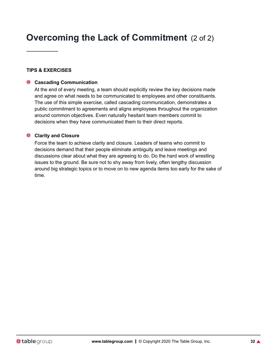### **Overcoming the Lack of Commitment** (2 of 2)

### **TIPS & EXERCISES**

#### **Cascading Communication**

At the end of every meeting, a team should explicitly review the key decisions made and agree on what needs to be communicated to employees and other constituents. The use of this simple exercise, called cascading communication, demonstrates a public commitment to agreements and aligns employees throughout the organization around common objectives. Even naturally hesitant team members commit to decisions when they have communicated them to their direct reports.

### **Clarity and Closure**

Force the team to achieve clarity and closure. Leaders of teams who commit to decisions demand that their people eliminate ambiguity and leave meetings and discussions clear about what they are agreeing to do. Do the hard work of wrestling issues to the ground. Be sure not to shy away from lively, often lengthy discussion around big strategic topics or to move on to new agenda items too early for the sake of time.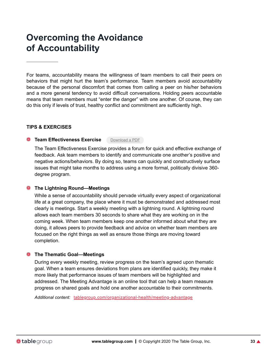### **Overcoming the Avoidance of Accountability**

For teams, accountability means the willingness of team members to call their peers on behaviors that might hurt the team's performance. Team members avoid accountability because of the personal discomfort that comes from calling a peer on his/her behaviors and a more general tendency to avoid difficult conversations. Holding peers accountable means that team members must "enter the danger" with one another. Of course, they can do this only if levels of trust, healthy conflict and commitment are sufficiently high.

### **TIPS & EXERCISES**

#### **C Team Effectiveness Exercise** [Download](https://www.tablegroup.com/download/team-effectiveness-exercise/) a PDF

The Team Effectiveness Exercise provides a forum for quick and effective exchange of feedback. Ask team members to identify and communicate one another's positive and negative actions/behaviors. By doing so, teams can quickly and constructively surface issues that might take months to address using a more formal, politically divisive 360 degree program.

### **The Lightning Round—Meetings**

While a sense of accountability should pervade virtually every aspect of organizational life at a great company, the place where it must be demonstrated and addressed most clearly is meetings. Start a weekly meeting with a lightning round. A lightning round allows each team members 30 seconds to share what they are working on in the coming week. When team members keep one another informed about what they are doing, it allows peers to provide feedback and advice on whether team members are focused on the right things as well as ensure those things are moving toward completion.

### **The Thematic Goal—Meetings**

During every weekly meeting, review progress on the team's agreed upon thematic goal. When a team ensures deviations from plans are identified quickly, they make it more likely that performance issues of team members will be highlighted and addressed. The Meeting Advantage is an online tool that can help a team measure progress on shared goals and hold one another accountable to their commitments.

*Additional content:* [tablegroup.com/organizational-health/meeting-advantage](https://www.tablegroup.com/organizational-health/meeting-advantage)